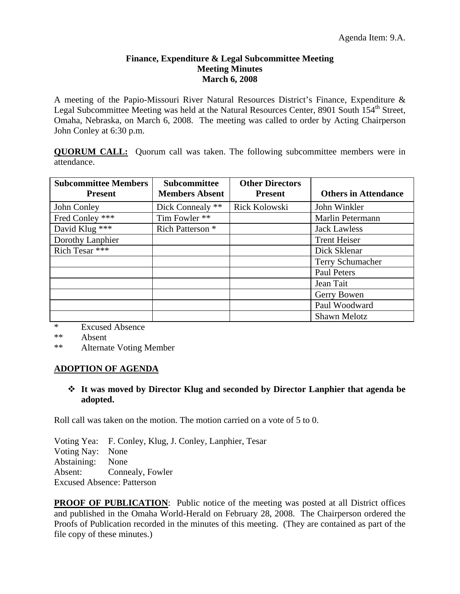#### **Finance, Expenditure & Legal Subcommittee Meeting Meeting Minutes March 6, 2008**

A meeting of the Papio-Missouri River Natural Resources District's Finance, Expenditure & Legal Subcommittee Meeting was held at the Natural Resources Center, 8901 South 154<sup>th</sup> Street, Omaha, Nebraska, on March 6, 2008. The meeting was called to order by Acting Chairperson John Conley at 6:30 p.m.

**QUORUM CALL:** Quorum call was taken. The following subcommittee members were in attendance.

| <b>Subcommittee Members</b><br><b>Present</b> | <b>Subcommittee</b><br><b>Members Absent</b> | <b>Other Directors</b><br><b>Present</b> | <b>Others in Attendance</b> |
|-----------------------------------------------|----------------------------------------------|------------------------------------------|-----------------------------|
| John Conley                                   | Dick Connealy **                             | Rick Kolowski                            | John Winkler                |
| Fred Conley ***                               | Tim Fowler **                                |                                          | Marlin Petermann            |
| David Klug ***                                | Rich Patterson <sup>*</sup>                  |                                          | <b>Jack Lawless</b>         |
| Dorothy Lanphier                              |                                              |                                          | <b>Trent Heiser</b>         |
| Rich Tesar ***                                |                                              |                                          | Dick Sklenar                |
|                                               |                                              |                                          | <b>Terry Schumacher</b>     |
|                                               |                                              |                                          | <b>Paul Peters</b>          |
|                                               |                                              |                                          | Jean Tait                   |
|                                               |                                              |                                          | Gerry Bowen                 |
|                                               |                                              |                                          | Paul Woodward               |
|                                               |                                              |                                          | Shawn Melotz                |

\* Excused Absence

\*\* Absent

\*\* Alternate Voting Member

# **ADOPTION OF AGENDA**

# **It was moved by Director Klug and seconded by Director Lanphier that agenda be adopted.**

Roll call was taken on the motion. The motion carried on a vote of 5 to 0.

Voting Yea: F. Conley, Klug, J. Conley, Lanphier, Tesar Voting Nay: None Abstaining: None Absent: Connealy, Fowler Excused Absence: Patterson

**PROOF OF PUBLICATION:** Public notice of the meeting was posted at all District offices and published in the Omaha World-Herald on February 28, 2008. The Chairperson ordered the Proofs of Publication recorded in the minutes of this meeting. (They are contained as part of the file copy of these minutes.)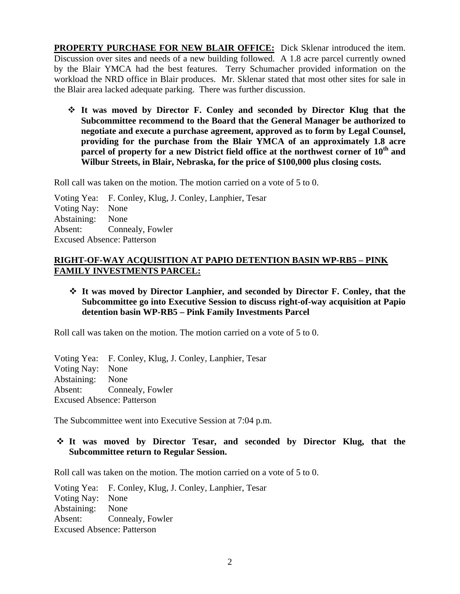**PROPERTY PURCHASE FOR NEW BLAIR OFFICE:** Dick Sklenar introduced the item. Discussion over sites and needs of a new building followed. A 1.8 acre parcel currently owned by the Blair YMCA had the best features. Terry Schumacher provided information on the workload the NRD office in Blair produces. Mr. Sklenar stated that most other sites for sale in the Blair area lacked adequate parking. There was further discussion.

 **It was moved by Director F. Conley and seconded by Director Klug that the Subcommittee recommend to the Board that the General Manager be authorized to negotiate and execute a purchase agreement, approved as to form by Legal Counsel, providing for the purchase from the Blair YMCA of an approximately 1.8 acre parcel of property for a new District field office at the northwest corner of 10th and Wilbur Streets, in Blair, Nebraska, for the price of \$100,000 plus closing costs.** 

Roll call was taken on the motion. The motion carried on a vote of 5 to 0.

Voting Yea: F. Conley, Klug, J. Conley, Lanphier, Tesar Voting Nay: None Abstaining: None Absent: Connealy, Fowler Excused Absence: Patterson

## **RIGHT-OF-WAY ACQUISITION AT PAPIO DETENTION BASIN WP-RB5 – PINK FAMILY INVESTMENTS PARCEL:**

# **It was moved by Director Lanphier, and seconded by Director F. Conley, that the Subcommittee go into Executive Session to discuss right-of-way acquisition at Papio detention basin WP-RB5 – Pink Family Investments Parcel**

Roll call was taken on the motion. The motion carried on a vote of 5 to 0.

Voting Yea: F. Conley, Klug, J. Conley, Lanphier, Tesar Voting Nay: None Abstaining: None Absent: Connealy, Fowler Excused Absence: Patterson

The Subcommittee went into Executive Session at 7:04 p.m.

### **It was moved by Director Tesar, and seconded by Director Klug, that the Subcommittee return to Regular Session.**

Roll call was taken on the motion. The motion carried on a vote of 5 to 0.

Voting Yea: F. Conley, Klug, J. Conley, Lanphier, Tesar Voting Nay: None Abstaining: None Absent: Connealy, Fowler Excused Absence: Patterson